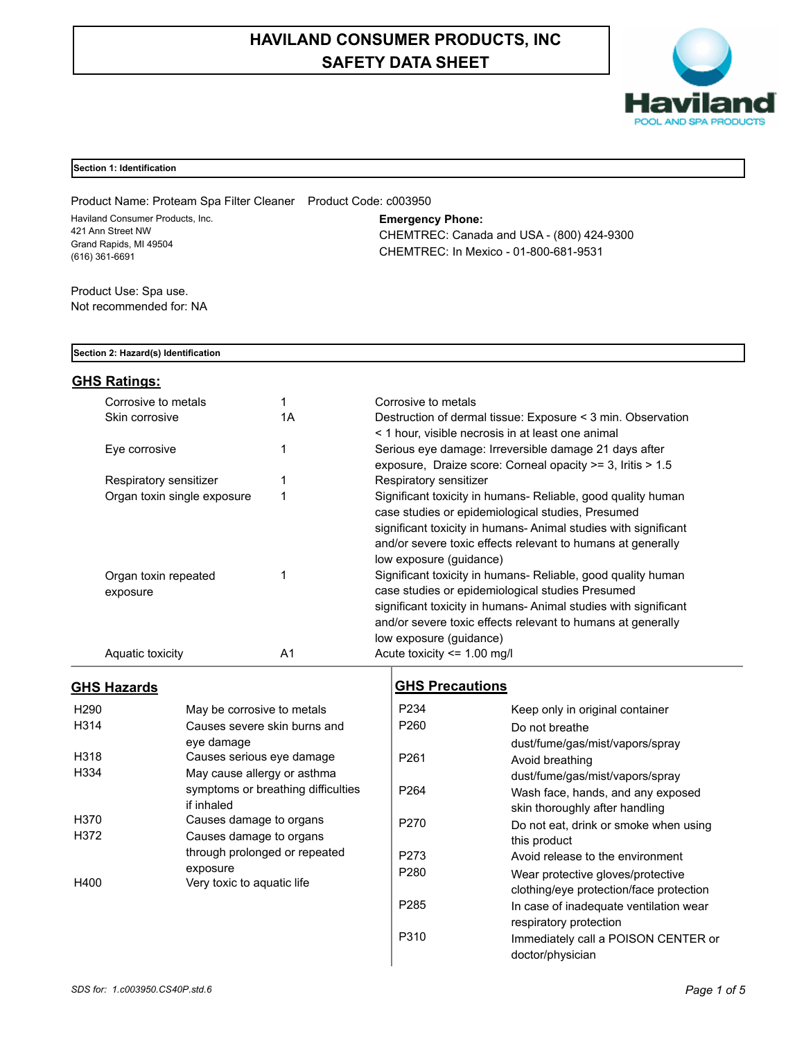# **HAVILAND CONSUMER PRODUCTS, INC SAFETY DATA SHEET**



### **Section 1: Identification**

Product Name: Proteam Spa Filter Cleaner Product Code: c003950 Haviland Consumer Products, Inc. 421 Ann Street NW Grand Rapids, MI 49504 (616) 361-6691

**Emergency Phone:**

CHEMTREC: Canada and USA - (800) 424-9300 CHEMTREC: In Mexico - 01-800-681-9531

Product Use: Spa use. Not recommended for: NA

### **Section 2: Hazard(s) Identification**

# **GHS Ratings:**

| Corrosive to metals              |    | Corrosive to metals                                                                                                                                                                                                                                                           |
|----------------------------------|----|-------------------------------------------------------------------------------------------------------------------------------------------------------------------------------------------------------------------------------------------------------------------------------|
| Skin corrosive                   | 1Α | Destruction of dermal tissue: Exposure < 3 min. Observation<br>< 1 hour, visible necrosis in at least one animal                                                                                                                                                              |
| Eye corrosive                    |    | Serious eye damage: Irreversible damage 21 days after<br>exposure, Draize score: Corneal opacity >= 3, Iritis > 1.5                                                                                                                                                           |
| Respiratory sensitizer           |    | Respiratory sensitizer                                                                                                                                                                                                                                                        |
| Organ toxin single exposure      | 1  | Significant toxicity in humans- Reliable, good quality human<br>case studies or epidemiological studies, Presumed<br>significant toxicity in humans-Animal studies with significant<br>and/or severe toxic effects relevant to humans at generally<br>low exposure (guidance) |
| Organ toxin repeated<br>exposure |    | Significant toxicity in humans- Reliable, good quality human<br>case studies or epidemiological studies Presumed<br>significant toxicity in humans-Animal studies with significant<br>and/or severe toxic effects relevant to humans at generally<br>low exposure (guidance)  |
| Aquatic toxicity                 | A1 | Acute toxicity $\leq$ 1.00 mg/l                                                                                                                                                                                                                                               |

## **GHS Hazards**

| H <sub>290</sub> | May be corrosive to metals         |
|------------------|------------------------------------|
| H314             | Causes severe skin burns and       |
|                  | eve damage                         |
| H318             | Causes serious eye damage          |
| H334             | May cause allergy or asthma        |
|                  | symptoms or breathing difficulties |
|                  | if inhaled                         |
| H370             | Causes damage to organs            |
| H372             | Causes damage to organs            |
|                  | through prolonged or repeated      |
|                  | exposure                           |
| H400             | Very toxic to aquatic life         |
|                  |                                    |

# **GHS Precautions**

| P <sub>2</sub> 34 | Keep only in original container         |
|-------------------|-----------------------------------------|
| P <sub>260</sub>  | Do not breathe                          |
|                   | dust/fume/gas/mist/vapors/spray         |
| P <sub>261</sub>  | Avoid breathing                         |
|                   | dust/fume/gas/mist/vapors/spray         |
| P <sub>264</sub>  | Wash face, hands, and any exposed       |
|                   | skin thoroughly after handling          |
| P270              | Do not eat, drink or smoke when using   |
|                   | this product                            |
| P273              | Avoid release to the environment        |
| P <sub>280</sub>  | Wear protective gloves/protective       |
|                   | clothing/eye protection/face protection |
| P <sub>285</sub>  | In case of inadequate ventilation wear  |
|                   | respiratory protection                  |
| P310              | Immediately call a POISON CENTER or     |
|                   | doctor/physician                        |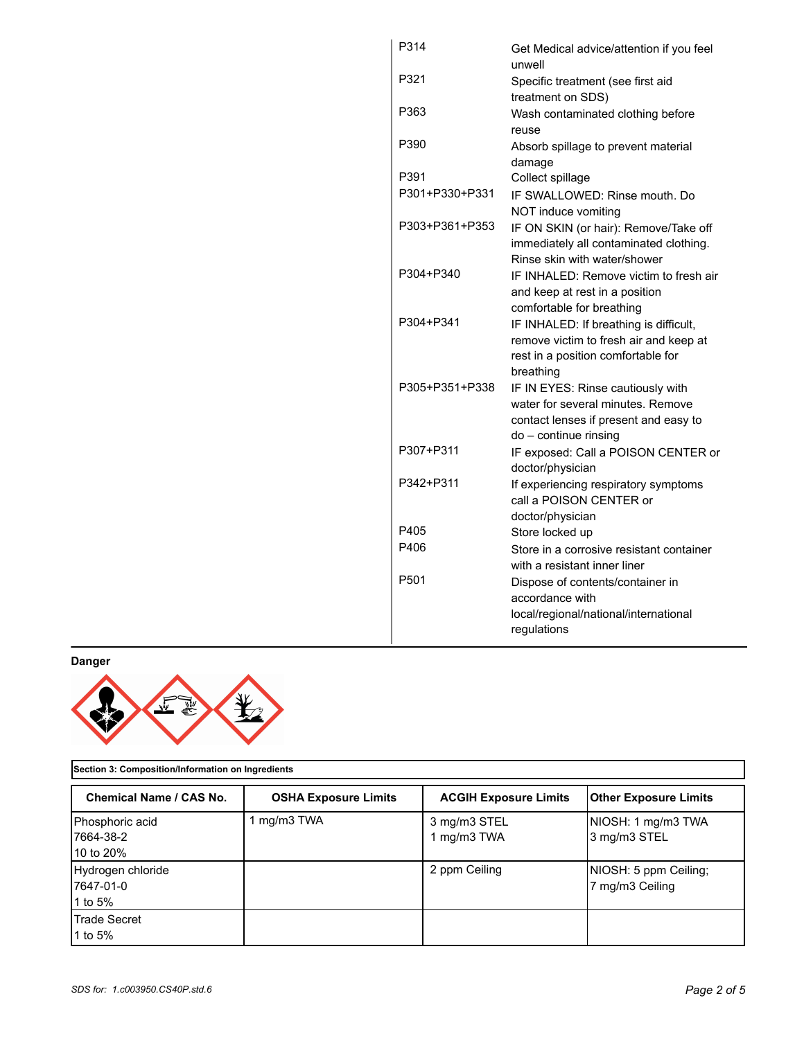| P314             | Get Medical advice/attention if you feel<br>unwell                                                                                       |
|------------------|------------------------------------------------------------------------------------------------------------------------------------------|
| P321             | Specific treatment (see first aid                                                                                                        |
| P363             | treatment on SDS)<br>Wash contaminated clothing before<br>reuse                                                                          |
| P390             | Absorb spillage to prevent material<br>damage                                                                                            |
| P391             | Collect spillage                                                                                                                         |
| P301+P330+P331   | IF SWALLOWED: Rinse mouth, Do                                                                                                            |
|                  | NOT induce vomiting                                                                                                                      |
| P303+P361+P353   | IF ON SKIN (or hair): Remove/Take off<br>immediately all contaminated clothing.<br>Rinse skin with water/shower                          |
| P304+P340        | IF INHALED: Remove victim to fresh air<br>and keep at rest in a position                                                                 |
|                  | comfortable for breathing                                                                                                                |
| P304+P341        | IF INHALED: If breathing is difficult,<br>remove victim to fresh air and keep at<br>rest in a position comfortable for<br>breathing      |
| P305+P351+P338   | IF IN EYES: Rinse cautiously with<br>water for several minutes. Remove<br>contact lenses if present and easy to<br>do - continue rinsing |
| P307+P311        | IF exposed: Call a POISON CENTER or<br>doctor/physician                                                                                  |
| P342+P311        | If experiencing respiratory symptoms<br>call a POISON CENTER or<br>doctor/physician                                                      |
| P405             | Store locked up                                                                                                                          |
| P406             | Store in a corrosive resistant container                                                                                                 |
|                  | with a resistant inner liner                                                                                                             |
| P <sub>501</sub> | Dispose of contents/container in<br>accordance with                                                                                      |
|                  | local/regional/national/international<br>regulations                                                                                     |

**Danger**



**Section 3: Composition/Information on Ingredients**

| Chemical Name / CAS No.                    | <b>OSHA Exposure Limits</b> | <b>ACGIH Exposure Limits</b> | <b>Other Exposure Limits</b>             |
|--------------------------------------------|-----------------------------|------------------------------|------------------------------------------|
| Phosphoric acid<br>17664-38-2<br>10 to 20% | mg/m3 TWA                   | 3 mg/m3 STEL<br>1 mg/m3 TWA  | NIOSH: 1 mg/m3 TWA<br>3 mg/m3 STEL       |
| Hydrogen chloride<br>7647-01-0<br>1 to 5%  |                             | 2 ppm Ceiling                | NIOSH: 5 ppm Ceiling;<br>7 mg/m3 Ceiling |
| <b>Trade Secret</b><br>1 to 5%             |                             |                              |                                          |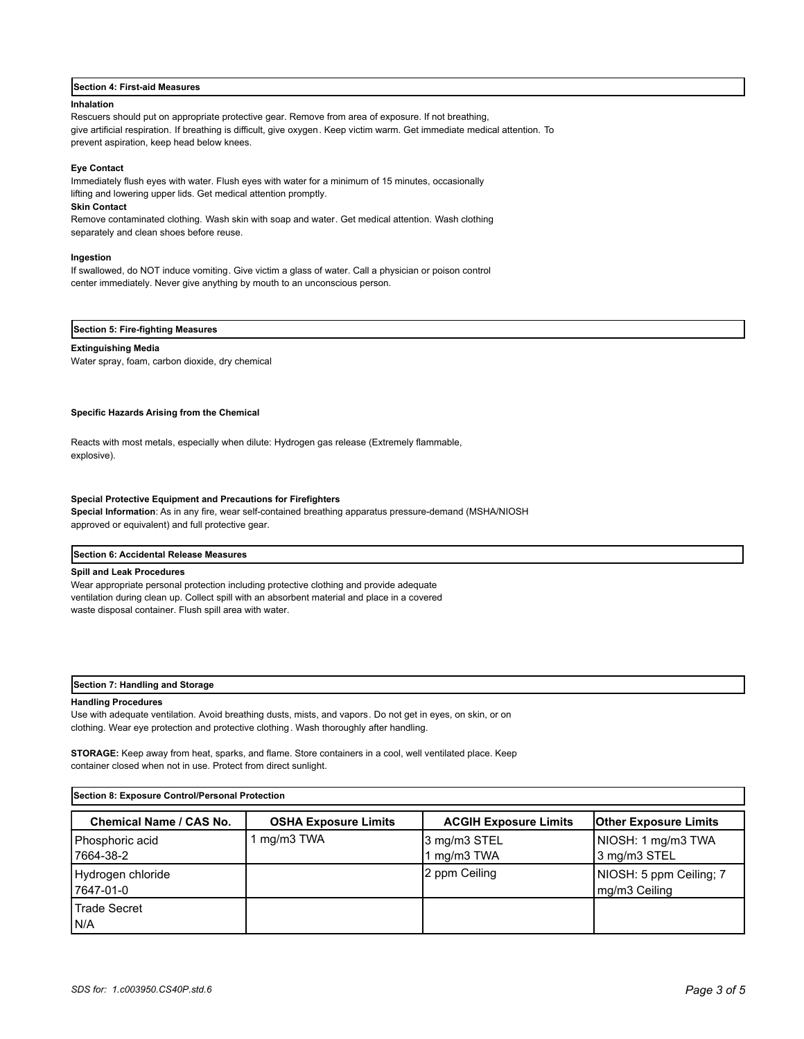#### **Section 4: First-aid Measures**

#### **Inhalation**

Rescuers should put on appropriate protective gear. Remove from area of exposure. If not breathing, give artificial respiration. If breathing is difficult, give oxygen. Keep victim warm. Get immediate medical attention. To prevent aspiration, keep head below knees.

#### **Eye Contact**

Immediately flush eyes with water. Flush eyes with water for a minimum of 15 minutes, occasionally lifting and lowering upper lids. Get medical attention promptly.

#### **Skin Contact**

Remove contaminated clothing. Wash skin with soap and water. Get medical attention. Wash clothing separately and clean shoes before reuse.

#### **Ingestion**

If swallowed, do NOT induce vomiting. Give victim a glass of water. Call a physician or poison control center immediately. Never give anything by mouth to an unconscious person.

#### **Section 5: Fire-fighting Measures**

#### **Extinguishing Media**

Water spray, foam, carbon dioxide, dry chemical

#### **Specific Hazards Arising from the Chemical**

Reacts with most metals, especially when dilute: Hydrogen gas release (Extremely flammable, explosive).

#### **Special Protective Equipment and Precautions for Firefighters**

**Special Information**: As in any fire, wear self-contained breathing apparatus pressure-demand (MSHA/NIOSH approved or equivalent) and full protective gear.

#### **Section 6: Accidental Release Measures**

#### **Spill and Leak Procedures**

Wear appropriate personal protection including protective clothing and provide adequate ventilation during clean up. Collect spill with an absorbent material and place in a covered waste disposal container. Flush spill area with water.

#### **Section 7: Handling and Storage**

#### **Handling Procedures**

Use with adequate ventilation. Avoid breathing dusts, mists, and vapors. Do not get in eyes, on skin, or on clothing. Wear eye protection and protective clothing. Wash thoroughly after handling.

**STORAGE:** Keep away from heat, sparks, and flame. Store containers in a cool, well ventilated place. Keep container closed when not in use. Protect from direct sunlight.

| Section 8: Exposure Control/Personal Protection |                             |                              |                                          |
|-------------------------------------------------|-----------------------------|------------------------------|------------------------------------------|
| <b>Chemical Name / CAS No.</b>                  | <b>OSHA Exposure Limits</b> | <b>ACGIH Exposure Limits</b> | <b>Other Exposure Limits</b>             |
| Phosphoric acid<br>17664-38-2                   | 1 mg/m3 TWA                 | 3 mg/m3 STEL<br>1 mg/m3 TWA  | NIOSH: 1 mg/m3 TWA<br>3 mg/m3 STEL       |
| Hydrogen chloride<br>17647-01-0                 |                             | 2 ppm Ceiling                | NIOSH: 5 ppm Ceiling; 7<br>mg/m3 Ceiling |
| Trade Secret<br>IN/A                            |                             |                              |                                          |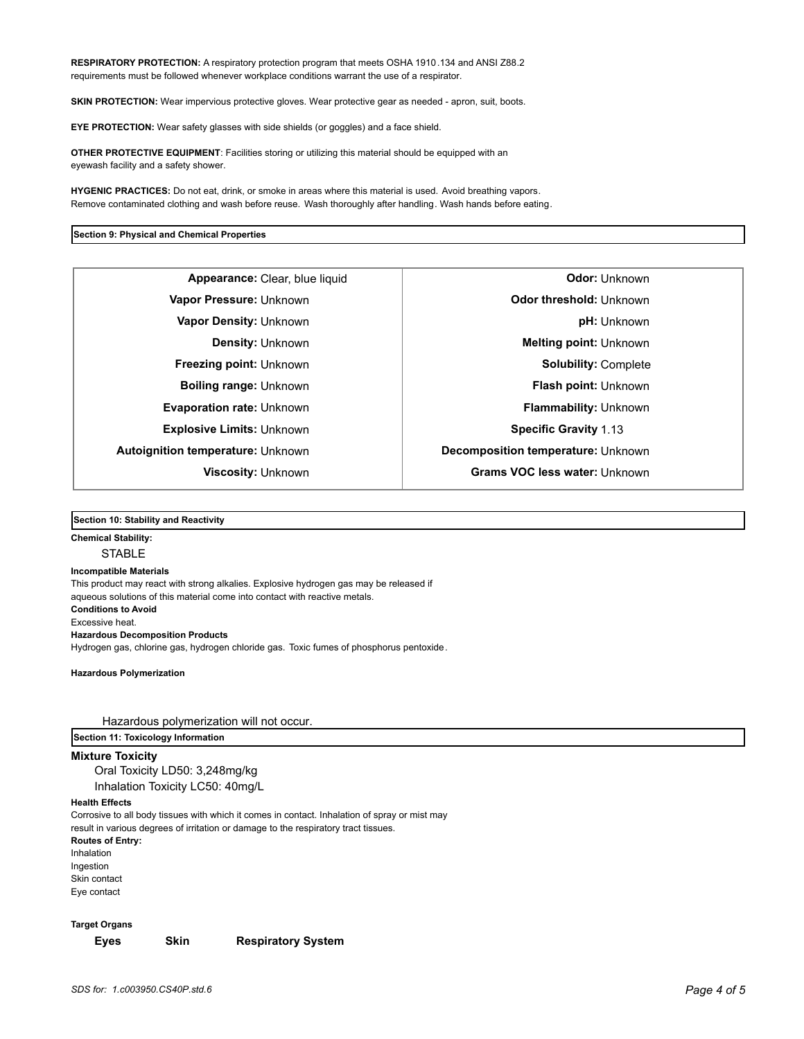**RESPIRATORY PROTECTION:** A respiratory protection program that meets OSHA 1910.134 and ANSI Z88.2 requirements must be followed whenever workplace conditions warrant the use of a respirator.

**SKIN PROTECTION:** Wear impervious protective gloves. Wear protective gear as needed - apron, suit, boots.

**EYE PROTECTION:** Wear safety glasses with side shields (or goggles) and a face shield.

**OTHER PROTECTIVE EQUIPMENT**: Facilities storing or utilizing this material should be equipped with an eyewash facility and a safety shower.

**HYGENIC PRACTICES:** Do not eat, drink, or smoke in areas where this material is used. Avoid breathing vapors. Remove contaminated clothing and wash before reuse. Wash thoroughly after handling. Wash hands before eating.

#### **Section 9: Physical and Chemical Properties**

**Appearance:** Clear, blue liquid **Constanting Constanting Odor:** Unknown **Explosive Limits:** Unknown **Specific Gravity** 1.13

**Vapor Pressure:** Unknown **Odor threshold:** Unknown **Vapor Density:** Unknown **pH:** Unknown **Density:** Unknown **Melting point:** Unknown **Freezing point:** Unknown **Solubility:** Complete **Boiling range:** Unknown **Flash point:** Unknown **Evaporation rate:** Unknown **Flammability:** Unknown **Autoignition temperature:** Unknown **Decomposition temperature:** Unknown **Viscosity:** Unknown **Grams VOC less water:** Unknown

### **Section 10: Stability and Reactivity**

# **Chemical Stability:**

# **STABLE**

**Incompatible Materials**  This product may react with strong alkalies. Explosive hydrogen gas may be released if aqueous solutions of this material come into contact with reactive metals. **Conditions to Avoid** Excessive heat. **Hazardous Decomposition Products** Hydrogen gas, chlorine gas, hydrogen chloride gas. Toxic fumes of phosphorus pentoxide.

**Hazardous Polymerization**

Hazardous polymerization will not occur.

**Section 11: Toxicology Information**

**Mixture Toxicity**

Oral Toxicity LD50: 3,248mg/kg Inhalation Toxicity LC50: 40mg/L

#### **Health Effects**

Corrosive to all body tissues with which it comes in contact. Inhalation of spray or mist may result in various degrees of irritation or damage to the respiratory tract tissues.

**Routes of Entry:** Inhalation Ingestion Skin contact Eye contact

**Target Organs**

**Eyes Skin Respiratory System**